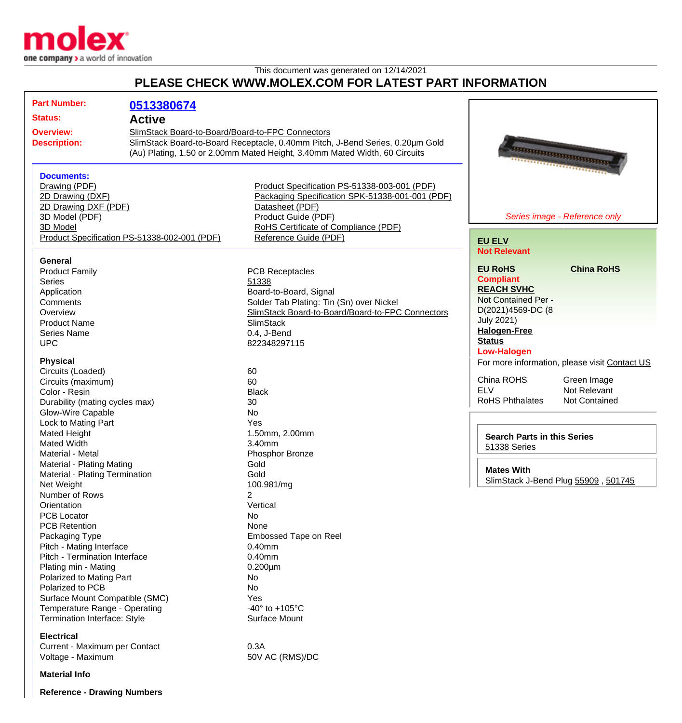

## This document was generated on 12/14/2021 **PLEASE CHECK WWW.MOLEX.COM FOR LATEST PART INFORMATION**

| <b>Part Number:</b><br><b>Status:</b><br><b>Overview:</b><br><b>Description:</b>                                                                                                                                                                                                                                                                                                                                                                                                                                                                                                                                                                                                                                                                                               | 0513380674<br><b>Active</b><br>SlimStack Board-to-Board/Board-to-FPC Connectors | SlimStack Board-to-Board Receptacle, 0.40mm Pitch, J-Bend Series, 0.20µm Gold<br>(Au) Plating, 1.50 or 2.00mm Mated Height, 3.40mm Mated Width, 60 Circuits                                                                                                                                                                                                                                                                                                                                    |                                                                                                                                                                                                                                                                                                                                                |                                                                                                                                                                  |
|--------------------------------------------------------------------------------------------------------------------------------------------------------------------------------------------------------------------------------------------------------------------------------------------------------------------------------------------------------------------------------------------------------------------------------------------------------------------------------------------------------------------------------------------------------------------------------------------------------------------------------------------------------------------------------------------------------------------------------------------------------------------------------|---------------------------------------------------------------------------------|------------------------------------------------------------------------------------------------------------------------------------------------------------------------------------------------------------------------------------------------------------------------------------------------------------------------------------------------------------------------------------------------------------------------------------------------------------------------------------------------|------------------------------------------------------------------------------------------------------------------------------------------------------------------------------------------------------------------------------------------------------------------------------------------------------------------------------------------------|------------------------------------------------------------------------------------------------------------------------------------------------------------------|
| <b>Documents:</b><br>Drawing (PDF)<br>2D Drawing (DXF)<br>2D Drawing DXF (PDF)<br>3D Model (PDF)<br>3D Model                                                                                                                                                                                                                                                                                                                                                                                                                                                                                                                                                                                                                                                                   | Product Specification PS-51338-002-001 (PDF)                                    | Product Specification PS-51338-003-001 (PDF)<br>Packaging Specification SPK-51338-001-001 (PDF)<br>Datasheet (PDF)<br>Product Guide (PDF)<br>RoHS Certificate of Compliance (PDF)<br>Reference Guide (PDF)                                                                                                                                                                                                                                                                                     | <u> Importante de l'Albert III e a l'Albert III e a l'Albert III e a l'Albert III e l'Albert III e l'Albert III e</u><br><b>EU ELV</b>                                                                                                                                                                                                         | Series image - Reference only                                                                                                                                    |
| <b>General</b><br><b>Product Family</b><br><b>Series</b><br>Application<br>Comments<br>Overview<br><b>Product Name</b><br><b>Series Name</b><br><b>UPC</b><br><b>Physical</b><br>Circuits (Loaded)<br>Circuits (maximum)<br>Color - Resin<br>Durability (mating cycles max)<br><b>Glow-Wire Capable</b><br>Lock to Mating Part<br>Mated Height<br><b>Mated Width</b><br>Material - Metal<br>Material - Plating Mating<br>Material - Plating Termination<br>Net Weight<br>Number of Rows<br>Orientation<br><b>PCB Locator</b><br><b>PCB Retention</b><br>Packaging Type<br>Pitch - Mating Interface<br>Pitch - Termination Interface<br>Plating min - Mating<br>Polarized to Mating Part<br>Polarized to PCB<br>Surface Mount Compatible (SMC)<br>Temperature Range - Operating |                                                                                 | <b>PCB Receptacles</b><br>51338<br>Board-to-Board, Signal<br>Solder Tab Plating: Tin (Sn) over Nickel<br>SlimStack Board-to-Board/Board-to-FPC Connectors<br><b>SlimStack</b><br>0.4, J-Bend<br>822348297115<br>60<br>60<br><b>Black</b><br>30<br>No<br>Yes<br>1.50mm, 2.00mm<br>3.40mm<br>Phosphor Bronze<br>Gold<br>Gold<br>100.981/mg<br>Vertical<br>No<br>None<br>Embossed Tape on Reel<br>$0.40$ mm<br>$0.40$ mm<br>$0.200 \mu m$<br>No<br>No<br>Yes<br>-40 $\degree$ to +105 $\degree$ C | <b>Not Relevant</b><br><b>EU RoHS</b><br><b>Compliant</b><br><b>REACH SVHC</b><br>Not Contained Per -<br>D(2021)4569-DC (8<br><b>July 2021)</b><br><b>Halogen-Free</b><br><b>Status</b><br><b>Low-Halogen</b><br>China ROHS<br><b>ELV</b><br><b>RoHS Phthalates</b><br><b>Search Parts in this Series</b><br>51338 Series<br><b>Mates With</b> | <b>China RoHS</b><br>For more information, please visit Contact US<br>Green Image<br>Not Relevant<br><b>Not Contained</b><br>SlimStack J-Bend Plug 55909, 501745 |
| Termination Interface: Style<br><b>Electrical</b><br>Current - Maximum per Contact<br>Voltage - Maximum                                                                                                                                                                                                                                                                                                                                                                                                                                                                                                                                                                                                                                                                        |                                                                                 | Surface Mount<br>0.3A<br>50V AC (RMS)/DC                                                                                                                                                                                                                                                                                                                                                                                                                                                       |                                                                                                                                                                                                                                                                                                                                                |                                                                                                                                                                  |

**Material Info**

**Reference - Drawing Numbers**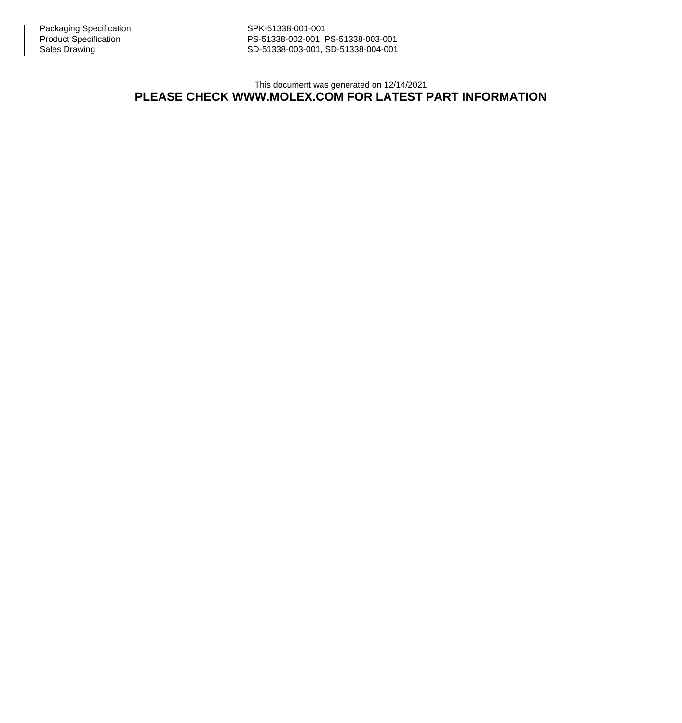PS-51338-002-001, PS-51338-003-001 Sales Drawing Sales Drawing SD-51338-003-001, SD-51338-004-001

This document was generated on 12/14/2021

## **PLEASE CHECK WWW.MOLEX.COM FOR LATEST PART INFORMATION**